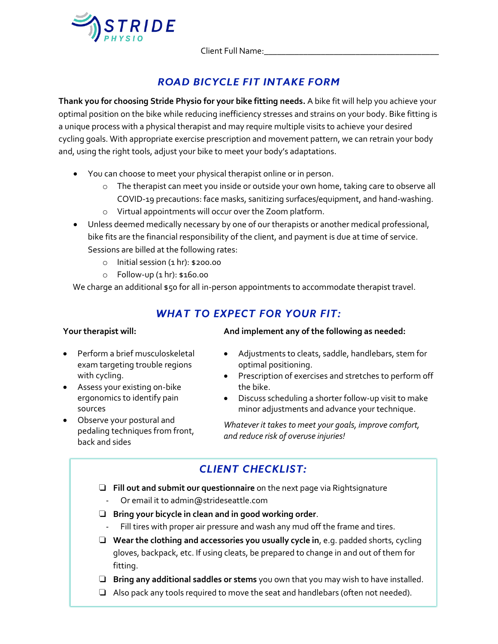

Client Full Name:

# **ROAD BICYCLE FIT INTAKE FORM**

**Thank you for choosing Stride Physio for your bike fitting needs.** A bike fit will help you achieve your optimal position on the bike while reducing inefficiency stresses and strains on your body. Bike fitting is a unique process with a physical therapist and may require multiple visits to achieve your desired cycling goals. With appropriate exercise prescription and movement pattern, we can retrain your body and, using the right tools, adjust your bike to meet your body's adaptations.

- You can choose to meet your physical therapist online or in person.
	- o The therapist can meet you inside or outside your own home, taking care to observe all COVID-19 precautions: face masks, sanitizing surfaces/equipment, and hand-washing.
	- o Virtual appointments will occur over the Zoom platform.
- Unless deemed medically necessary by one of our therapists or another medical professional, bike fits are the financial responsibility of the client, and payment is due at time of service. Sessions are billed at the following rates:
	- $\circ$  Initial session  $(1 \text{ hr})$ : \$200.00
	- o Follow-up (1 hr): \$160.00

We charge an additional \$50 for all in-person appointments to accommodate therapist travel.

### **WHAT TO EXPECT FOR YOUR FIT:**

#### **Your therapist will:**

- Perform a brief musculoskeletal exam targeting trouble regions with cycling.
- Assess your existing on-bike ergonomics to identify pain sources
- Observe your postural and pedaling techniques from front, back and sides

### **And implement any of the following as needed:**

- Adjustments to cleats, saddle, handlebars, stem for optimal positioning.
- Prescription of exercises and stretches to perform off the bike.
- Discuss scheduling a shorter follow-up visit to make minor adjustments and advance your technique.

*Whatever it takes to meet your goals, improve comfort, and reduce risk of overuse injuries!*

# **CLIENT CHECKLIST:**

- ❏ **Fill out and submit our questionnaire** on the next page via Rightsignature
	- Or email it to admin@strideseattle.com
- ❏ **Bring your bicycle in clean and in good working order**.
	- Fill tires with proper air pressure and wash any mud off the frame and tires.
- ❏ **Wear the clothing and accessories you usually cycle in**, e.g. padded shorts, cycling gloves, backpack, etc. If using cleats, be prepared to change in and out of them for fitting.
- ❏ **Bring any additional saddles or stems** you own that you may wish to have installed.
- ❏ Also pack any tools required to move the seat and handlebars (often not needed).